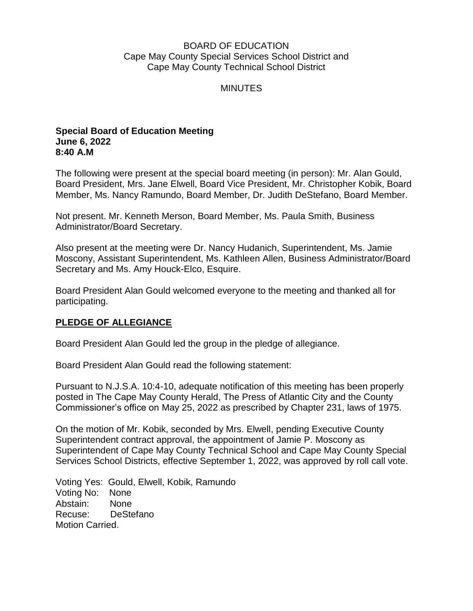### BOARD OF EDUCATION Cape May County Special Services School District and Cape May County Technical School District

### MINUTES

#### **Special Board of Education Meeting June 6, 2022 8:40 A.M**

The following were present at the special board meeting (in person): Mr. Alan Gould, Board President, Mrs. Jane Elwell, Board Vice President, Mr. Christopher Kobik, Board Member, Ms. Nancy Ramundo, Board Member, Dr. Judith DeStefano, Board Member.

Not present. Mr. Kenneth Merson, Board Member, Ms. Paula Smith, Business Administrator/Board Secretary.

Also present at the meeting were Dr. Nancy Hudanich, Superintendent, Ms. Jamie Moscony, Assistant Superintendent, Ms. Kathleen Allen, Business Administrator/Board Secretary and Ms. Amy Houck-Elco, Esquire.

Board President Alan Gould welcomed everyone to the meeting and thanked all for participating.

# **PLEDGE OF ALLEGIANCE**

Board President Alan Gould led the group in the pledge of allegiance.

Board President Alan Gould read the following statement:

Pursuant to N.J.S.A. 10:4-10, adequate notification of this meeting has been properly posted in The Cape May County Herald, The Press of Atlantic City and the County Commissioner's office on May 25, 2022 as prescribed by Chapter 231, laws of 1975.

On the motion of Mr. Kobik, seconded by Mrs. Elwell, pending Executive County Superintendent contract approval, the appointment of Jamie P. Moscony as Superintendent of Cape May County Technical School and Cape May County Special Services School Districts, effective September 1, 2022, was approved by roll call vote.

Voting Yes: Gould, Elwell, Kobik, Ramundo Voting No: None Abstain: None Recuse: DeStefano Motion Carried.